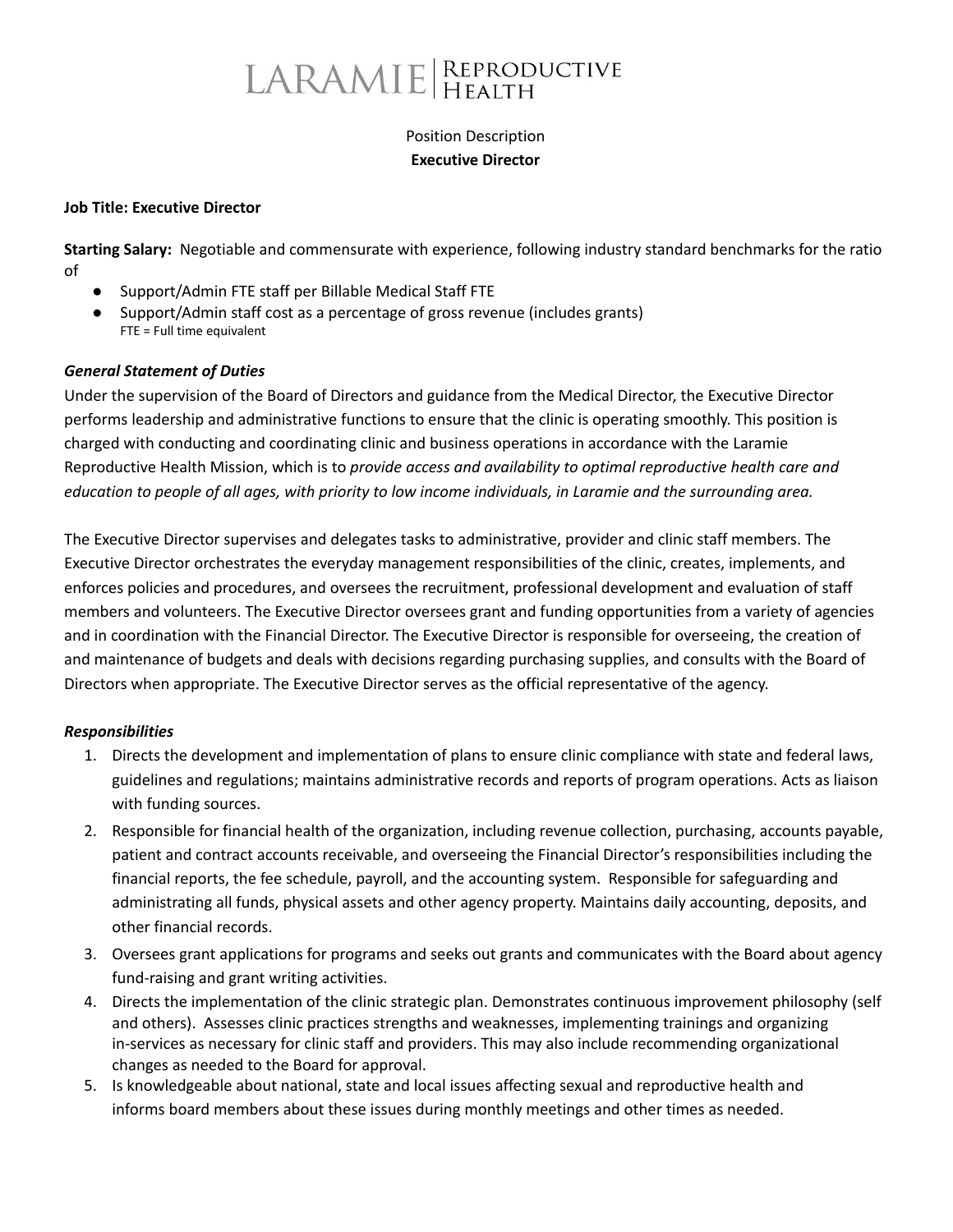# LARAMIE REPRODUCTIVE

## Position Description **Executive Director**

#### **Job Title: Executive Director**

**Starting Salary:** Negotiable and commensurate with experience, following industry standard benchmarks for the ratio of

- Support/Admin FTE staff per Billable Medical Staff FTE
- Support/Admin staff cost as a percentage of gross revenue (includes grants) FTE = Full time equivalent

#### *General Statement of Duties*

Under the supervision of the Board of Directors and guidance from the Medical Director, the Executive Director performs leadership and administrative functions to ensure that the clinic is operating smoothly. This position is charged with conducting and coordinating clinic and business operations in accordance with the Laramie Reproductive Health Mission, which is to *provide access and availability to optimal reproductive health care and* education to people of all ages, with priority to low income individuals, in Laramie and the surrounding area.

The Executive Director supervises and delegates tasks to administrative, provider and clinic staff members. The Executive Director orchestrates the everyday management responsibilities of the clinic, creates, implements, and enforces policies and procedures, and oversees the recruitment, professional development and evaluation of staff members and volunteers. The Executive Director oversees grant and funding opportunities from a variety of agencies and in coordination with the Financial Director. The Executive Director is responsible for overseeing, the creation of and maintenance of budgets and deals with decisions regarding purchasing supplies, and consults with the Board of Directors when appropriate. The Executive Director serves as the official representative of the agency.

#### *Responsibilities*

- 1. Directs the development and implementation of plans to ensure clinic compliance with state and federal laws, guidelines and regulations; maintains administrative records and reports of program operations. Acts as liaison with funding sources.
- 2. Responsible for financial health of the organization, including revenue collection, purchasing, accounts payable, patient and contract accounts receivable, and overseeing the Financial Director's responsibilities including the financial reports, the fee schedule, payroll, and the accounting system. Responsible for safeguarding and administrating all funds, physical assets and other agency property. Maintains daily accounting, deposits, and other financial records.
- 3. Oversees grant applications for programs and seeks out grants and communicates with the Board about agency fund-raising and grant writing activities.
- 4. Directs the implementation of the clinic strategic plan. Demonstrates continuous improvement philosophy (self and others). Assesses clinic practices strengths and weaknesses, implementing trainings and organizing in-services as necessary for clinic staff and providers. This may also include recommending organizational changes as needed to the Board for approval.
- 5. Is knowledgeable about national, state and local issues affecting sexual and reproductive health and informs board members about these issues during monthly meetings and other times as needed.